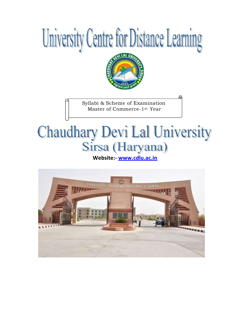



Syllabi & Scheme of Examination Master of Commerce-1st Year

# **Chaudhary Devi Lal University** Sirsa (Haryana)

**[Web](www.cdlu.ac.in)site:- www.cdlu.ac.in**

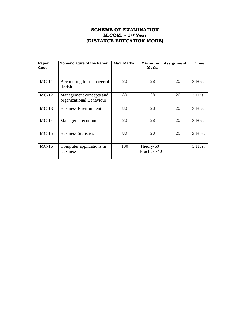# **SCHEME OF EXAMINATION M.COM. - 1ST Year (DISTANCE EDUCATION MODE)**

| Paper<br>Code | Nomenclature of the Paper                           | <b>Max. Marks</b> | Minimum<br>Marks          | Assignment | Time     |
|---------------|-----------------------------------------------------|-------------------|---------------------------|------------|----------|
| $MC-11$       | Accounting for managerial<br>decisions              | 80                | 28                        | 20         | $3$ Hrs. |
| $MC-12$       | Management concepts and<br>organizational Behaviour | 80                | 28                        | 20         | $3$ Hrs. |
| $MC-13$       | <b>Business Environment</b>                         | 80                | 28                        | 20         | 3 Hrs.   |
| $MC-14$       | Managerial economics                                | 80                | 28                        | 20         | 3 Hrs.   |
| $MC-15$       | <b>Business Statistics</b>                          | 80                | 28                        | 20         | $3$ Hrs. |
| $MC-16$       | Computer applications in<br><b>Business</b>         | 100               | Theory-60<br>Practical-40 |            | 3 Hrs.   |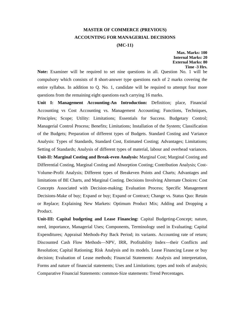# **MASTER OF COMMERCE (PREVIOUS) ACCOUNTING FOR MANAGERIAL DECISIONS (MC-11)**

**Max. Marks: 100 Internal Marks: 20 External Marks: 80 Time -3 Hrs.**

**Note:** Examiner will be required to set nine questions in all. Question No. 1 will be compulsory which consists of 8 short-answer type questions each of 2 marks covering the entire syllabus. In addition to Q. No. 1, candidate will be required to attempt four more questions from the remaining eight questions each carrying 16 marks.

**Unit I: Management Accounting-An Introduction:** Definition; place, Financial Accounting vs Cost Accounting vs. Management Accounting; Functions, Techniques, Principles; Scope; Utility: Limitations; Essentials for Success. Budgetary Control; Managerial Control Process; Benefits; Limitations; Installation of the System; Classification of the Budgets; Preparation of different types of Budgets. Standard Costing and Variance Analysis: Types of Standards, Standard Cost, Estimated Costing; Advantages; Limitations; Setting of Standards; Analysis of different types of material, labour and overhead variances. **Unit-II: Marginal Costing and Break-even Analysis:** Marginal Cost; Marginal Costing and Differential Costing, Marginal Costing and Absorption Costing; Contribution Analysis; Cost-Volume-Profit Analysis; Different types of Breakeven Points and Charts; Advantages and limitations of BE Charts, and Marginal Costing. Decisions Involving Alternate Choices: Cost

Concepts Associated with Decision-making; Evaluation Process; Specific Management Decisions-Make of buy; Expand or buy; Expand or Contract; Change vs. Status Quo: Retain or Replace; Explaining New Markets: Optimum Product Mix; Adding and Dropping a Product.

**Unit-III: Capital budgeting and Lease Financing:** Capital Budgeting-Concept; nature, need, importance, Managerial Uses; Components, Terminology used in Evaluating; Capital Expenditures; Appraisal Methods-Pay Back Period; its variants. Accounting rate of return; Discounted Cash Flow Methods—NPV, IRR, Profitability Index—their Conflicts and Resolution; Capital Rationing; Risk Analysis and its models. Lease Financing Lease or buy decision; Evaluation of Lease methods; Financial Statements: Analysis and interpretation, Forms and nature of financial statements; Uses and Limitations; types and tools of analysis; Comparative Financial Statements: common-Size statements: Trend Percentages.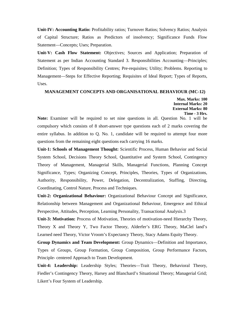**Unit-IV: Accounting Ratio:** Profitability ratios; Turnover Ratios; Solvency Ratios; Analysis of Capital Structure; Ratios as Predictors of insolvency; Significance Funds Flow Statement—Concepts; Uses; Preparation.

**Unit-V: Cash Flow Statement:** Objectives; Sources and Application; Preparation of Statement as per Indian Accounting Standard 3. Responsibilities Accounting—Principles; Definition; Types of Responsibility Centres; Pre-requisites; Utility; Problems. Reporting to Management—Steps for Effective Reporting; Requisites of Ideal Report; Types of Reports, Uses.

## **MANAGEMENT CONCEPTS AND ORGANISATIONAL BEHAVIOUR (MC-12)**

**Max. Marks: 100 Internal Marks: 20 External Marks: 80 Time - 3 Hrs.**

**Note:** Examiner will be required to set nine questions in all. Question No. 1 will be compulsory which consists of 8 short-answer type questions each of 2 marks covering the entire syllabus. In addition to Q. No. 1, candidate will be required to attempt four more questions from the remaining eight questions each carrying 16 marks.

**Unit-1: Schools of Management Thought:** Scientific Process, Human Behavior and Social System School, Decisions Theory School, Quantitative and System School, Contingency Theory of Management, Managerial Skills, Managerial Functions, Planning Concept Significance, Types; Organizing Concept, Principles, Theories, Types of Organizations, Authority, Responsibility, Power, Delegation, Decentralization, Staffing, Directing, Coordinating, Control Nature, Process and Techniques.

**Unit-2: Organizational Behaviour:** Organizational Behaviour Concept and Significance, Relationship between Management and Organizational Behaviour, Emergence and Ethical Perspective, Attitudes, Perception, Learning Personality, Transactional Analysis.3

**Unit-3: Motivation:** Process of Motivation, Theories of motivation-need Hierarchy Theory, Theory X and Theory Y, Two Factor Theory, Alderfer's ERG Theory, MaClel land's Learned need Theory, Victor Vroom's Expectancy Theory, Stacy Adams Equity Theory.

**Group Dynamics and Team Development:** Group Dynamics—Definition and Importance, Types of Groups, Group Formation, Group Composition, Group Performance Factors, Principle- centered Approach to Team Development.

**Unit-4: Leadership:** Leadership Styles; Theories—Trait Theory, Behavioral Theory, Fiedler's Contingency Theory, Harsey and Blanchard's Situational Theory; Managerial Grid; Likert's Four System of Leadership.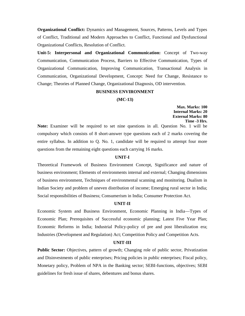**Organizational Conflict:** Dynamics and Management, Sources, Patterns, Levels and Types of Conflict, Traditional and Modern Approaches to Conflict, Functional and Dysfunctional Organizational Conflicts, Resolution of Conflict.

**Unit-5: Interpersonal and Organizational Communication:** Concept of Two-way Communication, Communication Process, Barriers to Effective Communication, Types of Organizational Communication, Improving Communication, Transactional Analysis in Communication, Organizational Development, Concept: Need for Change, Resistance to Change; Theories of Planned Change, Organizational Diagnosis, OD intervention.

# **BUSINESS ENVIRONMENT**

#### **(MC-13)**

**Max. Marks: 100 Internal Marks: 20 External Marks: 80 Time -3 Hrs.**

**Note:** Examiner will be required to set nine questions in all. Question No. 1 will be compulsory which consists of 8 short-answer type questions each of 2 marks covering the entire syllabus. In addition to Q. No. 1, candidate will be required to attempt four more questions from the remaining eight questions each carrying 16 marks.

#### **UNIT-I**

Theoretical Framework of Business Environment Concept, Significance and nature of business environment; Elements of environments internal and external; Changing dimensions of business environment, Techniques of environmental scanning and monitoring. Dualism in Indian Society and problem of uneven distribution of income; Emerging rural sector in India; Social responsibilities of Business; Consumerism in India; Consumer Protection Act.

# **UNIT-II**

Economic System and Business Environment, Economic Planning in India—Types of Economic Plan; Prerequisites of Successful economic planning; Latest Five Year Plan; Economic Reforms in India; Industrial Policy-policy of pre and post liberalization era; Industries (Development and Regulation) Act; Competition Policy and Competition Acts.

#### **UNIT-III**

**Public Sector:** Objectives, pattern of growth; Changing role of public sector, Privatization and Disinvestments of public enterprises; Pricing policies in public enterprises; Fiscal policy, Monetary policy, Problem of NPA in the Banking sector; SEBI-functions, objectives; SEBI guidelines for fresh issue of shares, debentures and bonus shares.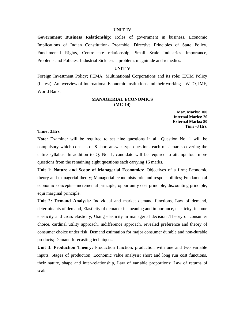#### **UNIT-IV**

**Government Business Relationship:** Roles of government in business, Economic Implications of Indian Constitution- Preamble, Directive Principles of State Policy, Fundamental Rights, Centre-state relationship; Small Scale Industries—Importance, Problems and Policies; Industrial Sickness—problem, magnitude and remedies.

#### **UNIT-V**

Foreign Investment Policy; FEMA; Multinational Corporations and its role; EXIM Policy (Latest): An overview of International Economic Institutions and their working—WTO, IMF, World Bank.

# **MANAGERIAL ECONOMICS (MC-14)**

**Max. Marks: 100 Internal Marks: 20 External Marks: 80 Time -3 Hrs.**

# **Time: 3Hrs**

**Note:** Examiner will be required to set nine questions in all. Question No. 1 will be compulsory which consists of 8 short-answer type questions each of 2 marks covering the entire syllabus. In addition to Q. No. 1, candidate will be required to attempt four more questions from the remaining eight questions each carrying 16 marks.

**Unit 1: Nature and Scope of Managerial Economics:** Objectives of a firm; Economic theory and managerial theory; Managerial economists role and responsibilities; Fundamental economic concepts—incremental principle, opportunity cost principle, discounting principle, equi marginal principle.

**Unit 2: Demand Analysis:** Individual and market demand functions, Law of demand, determinants of demand, Elasticity of demand: its meaning and importance, elasticity, income elasticity and cross elasticity; Using elasticity in managerial decision .Theory of consumer choice, cardinal utility approach, indifference approach, revealed preference and theory of consumer choice under risk; Demand estimation for major consumer durable and non-durable products; Demand forecasting techniques.

**Unit 3: Production Theory:** Production function, production with one and two variable inputs, Stages of production, Economic value analysis: short and long run cost functions, their nature, shape and inter-relationship, Law of variable proportions; Law of returns of scale.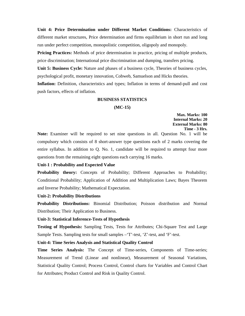**Unit 4: Price Determination under Different Market Conditions:** Characteristics of different market structures, Price determination and firms equilibrium in short run and long run under perfect competition, monopolistic competition, oligopoly and monopoly.

**Pricing Practices:** Methods of price determination in practice, pricing of multiple products, price discrimination; International price discrimination and dumping, transfers pricing.

**Unit 5: Business Cycle:** Nature and phases of a business cycle, Theories of business cycles, psychological profit, monetary innovation, Cobweb, Samuelson and Hicks theories.

**Inflation:** Definition, characteristics and types; Inflation in terms of demand-pull and cost push factors, effects of inflation.

# **BUSINESS STATISTICS**

#### **(MC-15)**

**Max. Marks: 100 Internal Marks: 20 External Marks: 80 Time - 3 Hrs.**

**Note:** Examiner will be required to set nine questions in all. Question No. 1 will be compulsory which consists of 8 short-answer type questions each of 2 marks covering the entire syllabus. In addition to Q. No. 1, candidate will be required to attempt four more questions from the remaining eight questions each carrying 16 marks.

### **Unit-1 : Probability and Expected Value**

**Probability theory:** Concepts of Probability; Different Approaches to Probability; Conditional Probability; Application of Addition and Multiplication Laws; Bayes Theorem and Inverse Probability; Mathematical Expectation.

#### **Unit-2: Probability Distributions**

**Probability Distributions:** Binomial Distribution; Poisson distribution and Normal Distribution; Their Application to Business.

# **Unit-3: Statistical Inference-Tests of Hypothesis**

**Testing of Hypothesis:** Sampling Tests, Tests for Attributes; Chi-Square Test and Large Sample Tests. Sampling tests for small samples –'T'-test, 'Z'-test, and 'F'-test.

#### **Unit-4: Time Series Analysis and Statistical Quality Control**

**Time Series Analysis:** The Concept of Time-series, Components of Time-series; Measurement of Trend (Linear and nonlinear), Measurement of Seasonal Variations, Statistical Quality Control; Process Control, Control charts for Variables and Control Chart for Attributes; Product Control and Risk in Quality Control.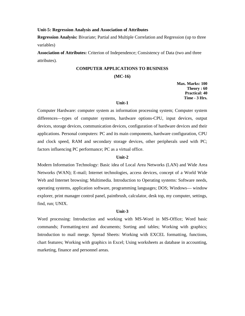#### **Unit-5: Regression Analysis and Association of Attributes**

**Regression Analysis:** Bivariate; Partial and Multiple Correlation and Regression (up to three variables)

**Association of Attributes:** Criterion of Independence; Consistency of Data (two and three attributes).

# **COMPUTER APPLICATIONS TO BUSINESS**

#### **(MC-16)**

**Max. Marks: 100 Theory : 60 Practical: 40 Time - 3 Hrs.**

### **Unit-1**

Computer Hardware: computer system as information processing system; Computer system differences—types of computer systems, hardware options-CPU, input devices, output devices, storage devices, communication devices, configuration of hardware devices and their applications. Personal computers: PC and its main components, hardware configuration, CPU and clock speed, RAM and secondary storage devices, other peripherals used with PC; factors influencing PC performance; PC as a virtual office.

#### **Unit-2**

Modern Information Technology: Basic idea of Local Area Networks (LAN) and Wide Area Networks (WAN); E-mail; Internet technologies, access devices, concept of a World Wide Web and Internet browsing; Multimedia. Introduction to Operating systems: Software needs, operating systems, application software, programming languages; DOS; Windows— window explorer, print manager control panel, paintbrush, calculator, desk top, my computer, settings, find, run; UNIX.

#### **Unit-3**

Word processing: Introduction and working with MS-Word in MS-Office; Word basic commands; Formatting-text and documents; Sorting and tables; Working with graphics; Introduction to mail merge. Spread Sheets: Working with EXCEL formatting, functions, chart features; Working with graphics in Excel; Using worksheets as database in accounting, marketing, finance and personnel areas.